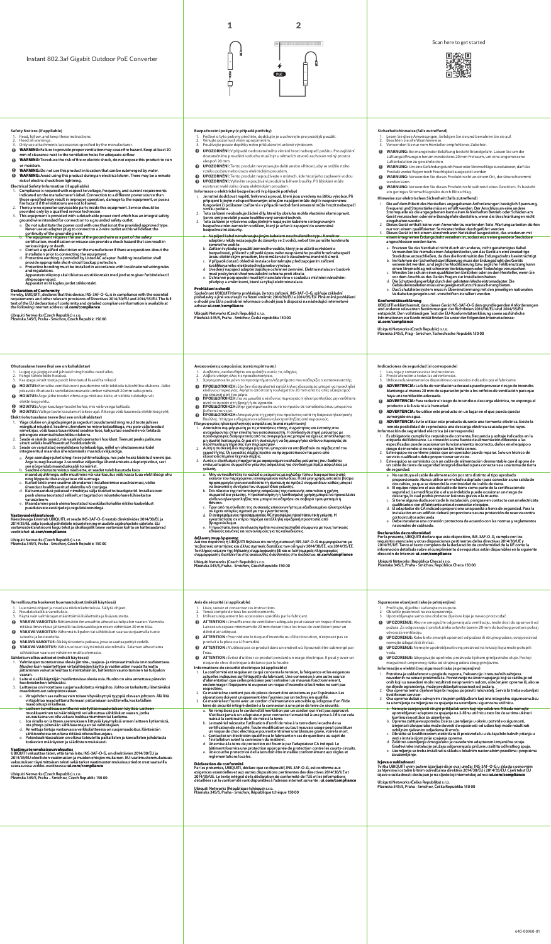



- 1. 2. 3.
- **Safety Notices (if appliable)**<br>1. Read, follow, and keep these instructions.<br>2. Heed all warnings.<br>3. Only use attachments/accessories specified by the manufacturer.
- 
- WARNING: Failure to provide proper ventilation may cause fire hazard. Keep at least 20<br>mm of clearance next to the ventilation holes for adequate airflow.<br>WARNING: To reduce the risk of fire or electric shock, do not expos
- 
- 1. **Electrical Safety Information (if appliable)**
- 2. 3.
- Compliance is required with respect to voltage, frequency, and current requirements<br>indicated on the manufacturer's label. Connection to a different prover source than<br>those specified may result in improper operation, dama a.
- b.
- c.
- d. e.
- 

stikproppensjord. Apparatet mi tilkoples jordet stikkontakt.

## **Declaration of Conformity**<br>Hereby, UBIQUITI, declares that this device, INS-3AF-O-G, is in compliance with the essential<br>requirements and other relevant provisions of Directives 2014/30/EU and 2014/35/EU. The full<br>text of

Ubiquiti Networks (Czech Republic) s.r.o. Plzenska 345/5, Praha - Smichov, Czech Republic 150 00

- 
- **Ohutusalane teave (kui see on kohaldatav)**
- Lugege ja järgige neid juhiseid ning hoidke need alles. Pange tähele kõiki hoiatusi. Kasutage ainult tootja poolt kinnitatud lisasid/tarvikuid. 1. 2. 3.
- **HOIATUS:** Korraliku ventilatsiooni puudumine võib tekitada tuleohtliku olukorra. Jätke<br>piisavaks õhutuseks ventilatsiooniavade ümber vähemalt 20 mm vaba pinda.<br>**HOIATUS:** Ärge jätke toodet vihma ega niiskuse kätte, et väl
- 
- 
- elektrilöögi ohtu.<br>**HOIATUS:** Ärge kasutage toodet kohas, mis võib veega kattuda.<br>**HOIATUS:** Vältige toote kasutamist äikese ajal. Äiksega võib kaasneda elektrilöögi oht.  $\frac{9}{9}$ **Elektriohutusalane teave (kui see on kohaldatav)**
- Väga oluline on järgida pinget ja sagedust puudutavaid ning muid tootei juhises<br>märgitud nõudeid. Seadme ühendamine mõne toiteallikaga, mis pole välja toodud<br>nimekirjas, võib kaasa tuu arikkeid seadme töös, kahjustusi sead 1.
- 2. 3.
- a.
- Ärge asendage juhet ühegi teise juhtmetüübiga, mis pole heaks kiidetud nimekirgas, af Arge kunagi kasutage 2-soonelise väljundiga ühendamiskas abapterpistikut, sest<br>Seadme ohutustunnistus näeb ette, sesedet tuleb kasutada b. c.
- d.
- e.

**Vastavusdeklaratsioon**<br>Käesolevaga kinnitab UBIQUITI, et seade INS-3AF-O-G vastab direktiivides 2014/30/EL ja<br>2014/35/EL välja toodud põhilistele nõuetele ning muudele asjakohastele sätetele. ELi<br>vastavusdeklaratsiooni ko

**VAKAVA VAROITUS:** Riittämätön ilmanvaihto aiheuttaa tulipalon vaaran. Varmista<br>riittävä Ilmavirtaus jättämällä tuuletusaukkojen eteen vähintään 20 mm tilaa.<br>**VAKAVA VAROITUS:** Vähennä tulipalon tai sähköiskun vaaraa suoja sateelta ja kosteudelta.<br>**VAKAVA VAROITUS:** Älä käytä tuotetta paikassa, jossa se saattaa peittyä vedellä.<br>**VAKAVA VAROITUS:** Vältä tuotteen käyttämistä ukonilmalla. Salaman aiheuttama

Lue nämä ohjeet ja noudata niiden kehotuksia. Säilytä ohjeet. Noudata kaikkia varoituksia. Käytä vain valmistajan määrittämiä lisälaitteita ja lisävarusteita.

**Turvallisuutta koskevat huomautukset (mikäli käytössä)**

Valmistajan tuotetarrassa olevia jännite-, taajuus- ja virtavaatimuksia on noudatettava.<br>Muiden kuin määritettyjen virtalähteiden käyttö ja vaatimusten noudattamatta<br>jättäminen voivat aiheuttaa toimintahäiriön, laitteiston

Laite ei sisällä käyttäjän huollettavissa olevia osia. Huolto on aina annettava pätevän

Laitteessa on irrotettava suojamaadoitettu virtajohto. Johto on tarkoitettu liitettäväksi<br>
a. Virtajohdon saa valhtaa vain toiseen hyväksyttyä tyyppiä olevaan johton. Älä liitä<br>
a. Virtajohdon saa valhtaa vain toiseen hyvä

**Vaatimustenmukaisuusvakuutus**<br>UBIQUITI vakuuttaa täten, että tämä laite, INS-3AF-O-G, on direktiivien 2014/30/EU ja<br>2014/35/EU oleellisten vaatimusten ja muiden ehtojen mukainen. EU-vaatimustenmukaisuus-<br>vakuutuksen täysi

Ubiquiti Networks (Czech Republic) s.r.o. Plzenska 345/5, Praha - Smichov, Czech Republic 150 00

Ubiquiti Networks (Czech Republic) s.r.o. Plzenska 345/5, Praha – Smichov, Czech Republic 150 00

sähköiskun vaara on vähäinen mutta olemassa.

vaaran.

1. 2. 3. a. b. c. d. e.

1. 2. 3.

 $\bullet$ 

 $\overline{\mathbf{0}}$ 

huoltoteknikon tehtäväksi.

**Sähköturvallisuustiedot (mikäli käytössä)**

1. 2. 3. **Bezpečnostní pokyny (v případě potřeby)**

2. 3.

- Pečlivě si tyto pokyny přečtěte, dodržujte je a uchovejte pro pozdější použití.<br>Věnujte pozornost všem upozorněním.<br>Používejte pouze doplňky nebo příslušenství určené výrobcem.
- **UPOZORNĚNÍ:** V případě nedostatečného větrání hrozí nebezpečí požáru. Pro zajištění
- dostatečného proudění vzduchu musí být u větracích otvorů zachován volný prostor  $\ddot{\mathbf{a}}$
- alespoň 20 mm.<br>**UPOZORNĚME:** Tento produkt nevystavujte dešti anebo vlhkosti, aby se snížilo riziko<br>**vzniku požáru nebo úrazu elektrickým proudem.**<br>U**POZORNĚNÍ:** Tento produkt nepoužívejte v místech, kde hrozí jeho zaplave  $\frac{0}{9}$

**EN CZ DE**

1.

 $\ddot{\mathbf{0}}$  $\ddot{\mathbf{0}}$ 

1.  $\ddot{\mathbf{0}}$ 

> 2. 3. a. b. c. d. e.

1. 2.

- 
- **Informace o elektrické bezpečnosti (v případě potřeby)** 1.
	- Je nutné dodržovat napětí, frekvenci a proud, které jsou uvedeny na štírku výrobce. Při<br>připojení k jiným než specifikovaným zdrojům napájení může dojit k nesprávnému<br>tvrhlu požáru.<br>vzniku požáru.<br>vzniku požáru.<br>vzniku pož
- a.
- Napájecí kabel nenahrazujte jiným kabelem neschváleného typu. Konektor adaptéru nikdy nezapojujte do zásuvky se 2 vodiči, neboť tím porušíte kontinuitu
- b.
- c.
- zemnicího vodiče.<br>Zařízení vyžaduje použití zemnicího vodiče, který je součástí osvědčení o<br>bezpečnosti, přičemč y případě úprav nebo nesprávného použití hrozí nebezpečí<br>úrazu elektrickým proudem, které může vést k závažné d. e.

**Prohlášení o shodě**<br>Společnost UBIQUITI tímto prohlašuje, že toto zařízení, INS-3AF-O-G, splňuje základní<br>požadavky a jiné související nařízení směrnic 2014/30/EU a 2014/35/EU. Plné znění prohlášení<br>o shodě pro EU a podro

Ubiquiti Networks (Czech Republic) s.r.o. Plzeňská 345/5, Praha - Smíchov, Česká republika 150 00

- **ELE AVACCONSTAND AREAD ELECT ACT AREAD AREAD AREAD AREAD AREAD AREAD AREAD AREAD AREAD AREAD AREAD AREAD AREAD A<br>1. Lea, siga y onese κατά περίπτωση)<br>2. Preste atención a todas las advertencias.<br>2. Preste atención a toda** 
	- 3. Χρησιμοποιείτε μόνο τα προσαρτήματα/εξαρτήματα που καθορίζει ο κατασκευαστής 1. 2.
	-
	- **ΠΡΟΕΙΔΟΠΟΙΗΣΗ:** Εάν δεν εξασφαλιστεί κατάλληλος εξαερισμός μπορεί να προκληθεί<br>κίνδυνος πυρκαγιάς. Αφήστε απόσταση τουλάχιστον 20 mm από τις οπές εξαερισμού<br>Π**ΡΟΕΙΔΟΠΟΙΗΣΗ:** Για να μειωθεί ο κίνδυνος πυρκαγιάς ή ηλεκτροπ
	- **ΠΡΟΕΙΔΟΠΟΙΗΣΗ:** Μην χρησιμοποιείτε αυτό το προϊόν σε τοποθεσία όπου μπορεί να<br>βυθιστεί σε νερό.
	- o **ΠΡΟΕΙΔΟΠΟΙΗΣΗ:** Αποφεύγετε τη χρήση του προϊόντος κατά τη διάρκεια ηλεκτρικής<br>θύελλας. Υπάρχει ενδεχόμενο κινδύνου ηλεκτροπληξίας από κεραυνούς.
	- Απατείται συμμόρφωση με τις απατήσεις τάσης, συχνότητας και έντασης που<br>αναγράφουται στην ετικέτα του κατασκευαστή. Η σύνδεση σε πηγή ρεύματος με<br>προδιαγραφείς διαφορετικές από τις αναφερόμενες μπορεί να έχει ως αποτέλεσμ Πληροφορίες ηλεκτρολογικής ασφάλειας (κατά περίπτωση)<br>1. Απαιτείται συμμόρφωση με τις απαιτήσεις τάσης, συγνώτητας και έντασης που αποτείται συμμόρφωνται στην επικέται του κατασκευαστή. Η συνδεση σε πηγή ρεύματος με<br>1. Απ
	- 2. 3.
	- a.
	- Μην αντικαθιστάτε το καλώδιο ρεύματος με καλώδιο τύπου διαφορετικού από<br>εκείνον του παρεχόμενου εγκεκριμένου καλωδίου. Ποτέ μην χρησιμοποιείτε βύσμα<br>προσαρμογέα για να συνδέσετε τη συσκευή σε πρίζα 2 συρματιδίων καθώς μπο b.
	-
	- θάνατο.<br>Πριν από τη σύνδεση της συσκευής επικοινωνήστε με εξειδικευμένο ηλεκτρολόγο<br>αν έχετε απορίες σχετικά, με την εγκατάσταση.<br>Ο αναφερόμενος προσαρμογέας ΑC προσφέρει προστατευτική γείωση. Η<br>εγκατάσταση σε κτίριο παρέ c. d.
	- e.

**Δήλωση συμμόρφωσης**<br>Δια του παρόντος η UBIQUITI δηλώνει ότι αυτή η συσκευή INS-3AF-O-G συμμορφώνεται με<br>Τις βασικές απαιτήσεις και άλλες σχετικές διατάξεις των οδηγιών 2014/30/ΕΕ, και 2014/35/ΕΕ.<br>Το πλήρες κείμενο της δή

Ubiquiti Networks (Czech Republic) s.r.o. Plzenska 345/5, Praha - Smichov, Czech Republic 150 00

- **Avis de sécurité (si applicable)**
- Lisez, suivez et conservez ces instructions. Tenez compte de tous les avertissements. Utilisez uniquement les accessoires spéciés par le fabricant. 1. 2. 3.
- 
- 
- **ATTENTION :** L'insuffisance de ventilation adéquate peut causer un risque d'incendie.<br>Laisez un espace minimum de 20 mm devant tous les trous de ventilation pour un<br>débit d'air adéquat.<br>**ATTENTION :** Pour réduire le risqu  $\mathbf 0$
- $\ddot{\mathbf{0}}$ l'eau.<br>**ATTENTION :** Évitez d'utiliser ce produit pendant un orage électrique. Il peut y avoir un<br>risque de choc électrique à distance par la foudre.  $\ddot{\mathbf{0}}$
- 1. **Informations de sécurité électrique (si applicable)**
- La conformité est requise en ce qui concerte la tension, la fréquence et les exigences<br>est reduite du fabricant. Dne connexion à une autre source actuelles indique<br>et sur l'étiquette du fabricant. Dne connexio frontienne, 2. 3.
- a.
- b. c.
- d.
- e.

**Déclaration de conformité<br>Par les présentes, UBIQUITI, déclare que ce dispositif, INS-3AF-O-G, est conforme aux<br>exigences essentielles et aux autres dispositions pertinentes des directives 2014/30/UE et<br>2014/35/UE. Le tex** 

Ubiquiti Networks (République tchèque) s.r.o. Plzenska 345/5, Praha - Smichov, République tchèque 150 00

Utilice exclusivamente los dispositivos o accesorios indicados por el fabricante.  $\ddot{\mathbf{a}}$ **ADVERTENCIA:** La falta de ventilación adecuada puede provocar riesgo de incendio.<br>Mantenga al menos 20 mm de separación junto a los orificios de ventilación para que<br>haya una ventilación adecuada.<br>producto a la lluvia ri  $\ddot{\mathbf{0}}$  $\bullet$ sumergido en agua.<br>**ADVERTENCIA:** Evite utilizar este producto durante una tormenta eléctrica. Existe la<br>remota posibilidad de se produzca una descarga eléctrica causada por los rayos.  $\ddot{\mathbf{0}}$ 

Ubiquiti Networks (Czech Republic) s.r.o. Plzenska 345/5, Prag - Smichov, Tschechische Republik 150 00

Lea, siga y conserve estas instrucciones. Preste atención a todas las advertencias.

**Indicaciones de seguridad (si corresponde)**

Hinweise zur elektrischen Sicherheit (falls zutreffend)

 $Sicherheitshinweise (falls zutreffend)$ 

1. **Información de seguridad eléctrica (si corresponde)**

**Konformitätserklärung**<br>und 2007 (alter alternit, dass dieses Gerät INS-3AF-O-G den grundlegenden Anforderungen<br>und anderen relevanten Bestimmungen der Richtlinien 2014/30/EU und 2014/35/EU<br>entspricht. Den vollständigen Te

Die auf dem Etikett des Herstellers angegebenen Anforderungen bezüglich Spannung, eingeler ein ein der eingegebenen kann einer einer einer Stromquelle als die angegebenen kann einer der einer Stromquelle als die angegebene

WARNUNG: Bei mangelnder Belüftung besteht Brandgefahr. Lassen Sie um die<br>Lüftungsöffnungen herum mindestens 20 mm Freiraum, um eine angemessene<br>Lüfturkulation zu gewähleisten.<br>WARNUNG: Um eine Gefährdung durch Feuer oder S

1. Lesen Sie diese Anweisungen, befolgen Sie sie und bewahren Sie sie auf<br>2. Beachten Sie alle Warnhinweise.<br>3. Verwenden Sie nur vom Hersteller empfohlenes Zubehör..

Verwenden Sie niemals einen Adapterstecker, um das Gerät an eine zweiadrige<br>Verwenden Sie niemals einen Adapterstecker, um das Gerät an einen zweiderleicht mit Rahmen der Sicherheitszertfüsterung muss der Erdungsdraht des

- Es obligatorio cumplir los requisitos de corriente, frecuencia y voltaje indicados en la<br>esigueta del fabricante. La conexión a una fuente de alimentación diferente a las<br>especificadas puede ocasionar un funcionamiento inc 2. 3.
- - No sustituya el cable de alimentación por otro distinto al tipo aprobado<br>proporcionado. Nunca utilice un enchule adaptador para conectar a una salida de<br>dos cables, ya que se detendrá la continuidad de la deria.<br>El equipo b.
	- c.
- d.
- e.

**Declaración de conformidad**<br>Por la presente, UBIQUITI declara que este dispositivo, INS-3AF-O-G, cumple con los<br>requisitos esenciales y otras disposiciones pertinentes de las directivas 2014/30/UE y<br>2014/35/UE. Tanto el t

Ubiquiti Networks (República Checa) s.r.o. Plzenska 345/5, Praha - Smichov, República Checa 150 00

- **FI FR HR Sigurnosne obavijesti (ako je primjenjivo)**
	- 1. 2. 3.

1. 2. 3.

> b. c. d. e.

Ubiquiti Networks (Češka Republika) s.r.o. Plzenska 345/5, Praha - Smichov, Češka Republika 150 00

- Pročitajte, slijedite i sačuvajte ove upute. Obratite pozornost na sva upozorenja. Upotrebljavajte samo one dodatne dijelove koje je naveo proizvođač.
- **UPOZORENJE:** Ako ne omogućite odgovarajuću ventilaciju, može doći do opasnosti od<br>požara. Za odgovarajuć<br>otvora za ventilaciju.<br>**UPOZORENJE:** Kako biste smanjili opasnost od požara ili strujnog udara, ovaj proizvod<br>**UPOZO**
- $\ddot{\mathbf{0}}$
- nemojte izlagati kiši ili vlazi. **UPOZORENJE:** Nemojte upotrebljavati ovaj proizvod na lokaciji koju može potopiti  $\ddot{\mathbf{a}}$
- $\ddot{\mathbf{0}}$
- voda.<br>**UPOZORENJE:** Izbjegavajte upotrebu proizvoda tijekom grmljavinske oluje. Postoji<br>mogućnost umjerenog rizika od strujnog udara zbog grmljavine. **Informacije o električnoj sigurnosti (ako je primjenjivo)**

**Izjava o sukladnosti**<br>Tvrtka UBIQUITI ovim putem izjavljuje da je ovaj uređaj INS-3AF-O-G u skladu s osnovnim<br>zahtjevima i ostalim bitnim odredbama direktiva 2014/30/EU i 2014/35/EU. Cijeli tekst EU<br>izjave o sukladnosti d

Nemojte zamjenjivati strujni priključak onim koji mje odobren. Nikada nemojte<br>upotrebljavati adaptere za spajanje na 2-žilnu utičnicu zato što će se time ukinuti<br>kontinuiranost žiće za uzemljenje.<br>Oprema zahtijeva upotrebu

Potrebna je usklađenost u pogledu napona, frekvencije i trenutačnih zahtjeva<br>navedenih na oznaci proizvođača. Povezivanje na izvor napajanja koji se razlikuje od<br>onih koji su navedeni može rezulitrati neispravnim radom, oš

640-00960-01